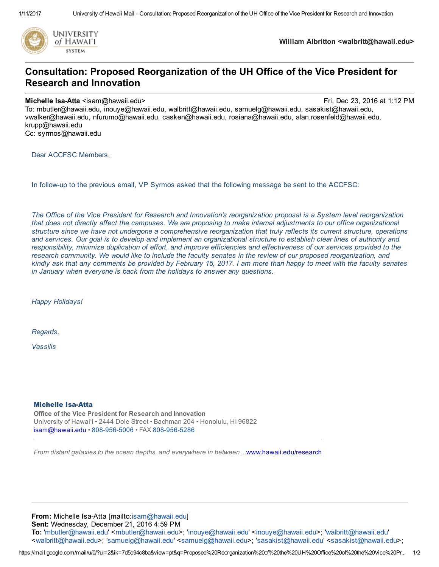

William Albritton <walbritt@hawaii.edu>

## Consultation: Proposed Reorganization of the UH Office of the Vice President for Research and Innovation

## Michelle Isa-Atta <isam@hawaii.edu> **Fri, Dec 23, 2016 at 1:12 PM** Fri, Dec 23, 2016 at 1:12 PM

To: mbutler@hawaii.edu, inouye@hawaii.edu, walbritt@hawaii.edu, samuelg@hawaii.edu, sasakist@hawaii.edu, vwalker@hawaii.edu, nfurumo@hawaii.edu, casken@hawaii.edu, rosiana@hawaii.edu, alan.rosenfeld@hawaii.edu, krupp@hawaii.edu

Cc: syrmos@hawaii.edu

Dear ACCFSC Members,

In followup to the previous email, VP Syrmos asked that the following message be sent to the ACCFSC:

The Office of the Vice President for Research and Innovation's reorganization proposal is a System level reorganization that does not directly affect the campuses. We are proposing to make internal adjustments to our office organizational structure since we have not undergone a comprehensive reorganization that truly reflects its current structure, operations and services. Our goal is to develop and implement an organizational structure to establish clear lines of authority and responsibility, minimize duplication of effort, and improve efficiencies and effectiveness of our services provided to the research community. We would like to include the faculty senates in the review of our proposed reorganization, and kindly ask that any comments be provided by February 15, 2017. I am more than happy to meet with the faculty senates in January when everyone is back from the holidays to answer any questions.

Happy Holidays!

Regards,

Vassilis

## **Michelle Isa-Atta**

Office of the Vice President for Research and Innovation University of Hawai'i • 2444 Dole Street • Bachman 204 • Honolulu, HI 96822 [isam@hawaii.edu](mailto:isam@hawaii.edu) • 808-956-5006 • FAX 808-956-5286

From distant galaxies to the ocean depths, and everywhere in between…[www.hawaii.edu/research](http://www.hawaii.edu/research)

From: Michelle Isa-Atta [mailto:[isam@hawaii.edu](mailto:isam@hawaii.edu)] Sent: Wednesday, December 21, 2016 4:59 PM To: '[mbutler@hawaii.edu](mailto:mbutler@hawaii.edu)' <[mbutler@hawaii.edu](mailto:mbutler@hawaii.edu)>; '[inouye@hawaii.edu](mailto:inouye@hawaii.edu)' <[inouye@hawaii.edu](mailto:inouye@hawaii.edu)>; '[walbritt@hawaii.edu](mailto:walbritt@hawaii.edu)' <[walbritt@hawaii.edu](mailto:walbritt@hawaii.edu)>; '[samuelg@hawaii.edu](mailto:samuelg@hawaii.edu)' <[samuelg@hawaii.edu](mailto:samuelg@hawaii.edu)>; '[sasakist@hawaii.edu](mailto:sasakist@hawaii.edu)' <[sasakist@hawaii.edu>](mailto:sasakist@hawaii.edu);

https://mail.google.com/mail/u/0/?ui=2&ik=7d5c94c8ba&view=pt&q=Proposed%20Reorganization%20of%20the%20UH%20Office%20of%20the%20Vice%20Pr... 1/2